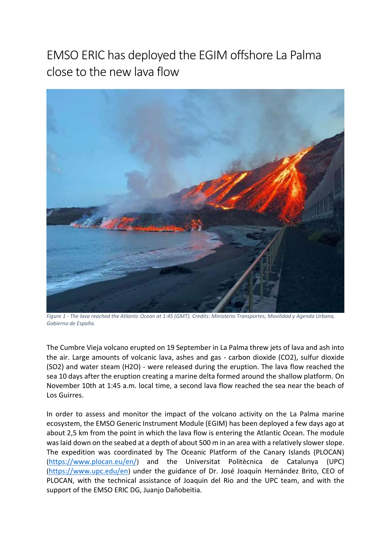## EMSO ERIC has deployed the EGIM offshore La Palma close to the new lava flow



*Figure 1 - The lava reached the Atlantic Ocean at 1:45 (GMT). Credits: Ministerio Transportes, Movilidad y Agenda Urbana, Gobierno de España.*

The Cumbre Vieja volcano erupted on 19 September in La Palma threw jets of lava and ash into the air. Large amounts of volcanic lava, ashes and gas - carbon dioxide (CO2), sulfur dioxide (SO2) and water steam (H2O) - were released during the eruption. The lava flow reached the sea 10 days after the eruption creating a marine delta formed around the shallow platform. On November 10th at 1:45 a.m. local time, a second lava flow reached the sea near the beach of Los Guirres.

In order to assess and monitor the impact of the volcano activity on the La Palma marine ecosystem, the EMSO Generic Instrument Module (EGIM) has been deployed a few days ago at about 2,5 km from the point in which the lava flow is entering the Atlantic Ocean. The module was laid down on the seabed at a depth of about 500 m in an area with a relatively slower slope. The expedition was coordinated by The Oceanic Platform of the Canary Islands (PLOCAN) (<https://www.plocan.eu/en/>) and the Universitat Politècnica de Catalunya (UPC) (<https://www.upc.edu/en>) under the guidance of Dr. José Joaquín Hernández Brito, CEO of PLOCAN, with the technical assistance of Joaquin del Rio and the UPC team, and with the support of the EMSO ERIC DG, Juanjo Dañobeitia.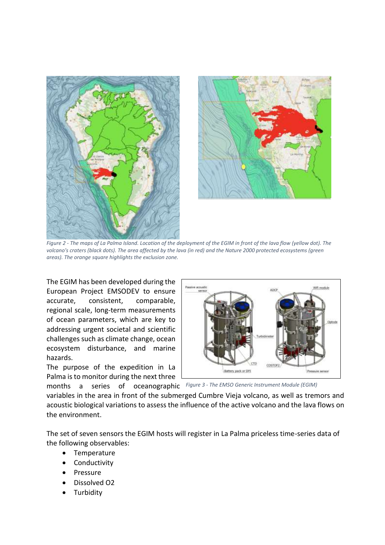



*Figure 2 - The maps of La Palma Island. Location of the deployment of the EGIM in front of the lava flow (yellow dot). The volcano's craters (black dots). The area affected by the lava (in red) and the Nature 2000 protected ecosystems (green areas). The orange square highlights the exclusion zone.*

The EGIM has been developed during the European Project EMSODEV to ensure accurate, consistent, comparable, regional scale, long-term measurements of ocean parameters, which are key to addressing urgent societal and scientific challenges such as climate change, ocean ecosystem disturbance, and marine hazards.

The purpose of the expedition in La Palma is to monitor during the next three



months a series of oceanographic *Figure 3 - The EMSO Generic Instrument Module (EGIM)*

variables in the area in front of the submerged Cumbre Vieja volcano, as well as tremors and acoustic biological variations to assess the influence of the active volcano and the lava flows on the environment.

The set of seven sensors the EGIM hosts will register in La Palma priceless time-series data of the following observables:

- Temperature
- Conductivity
- Pressure
- Dissolved O2
- Turbidity